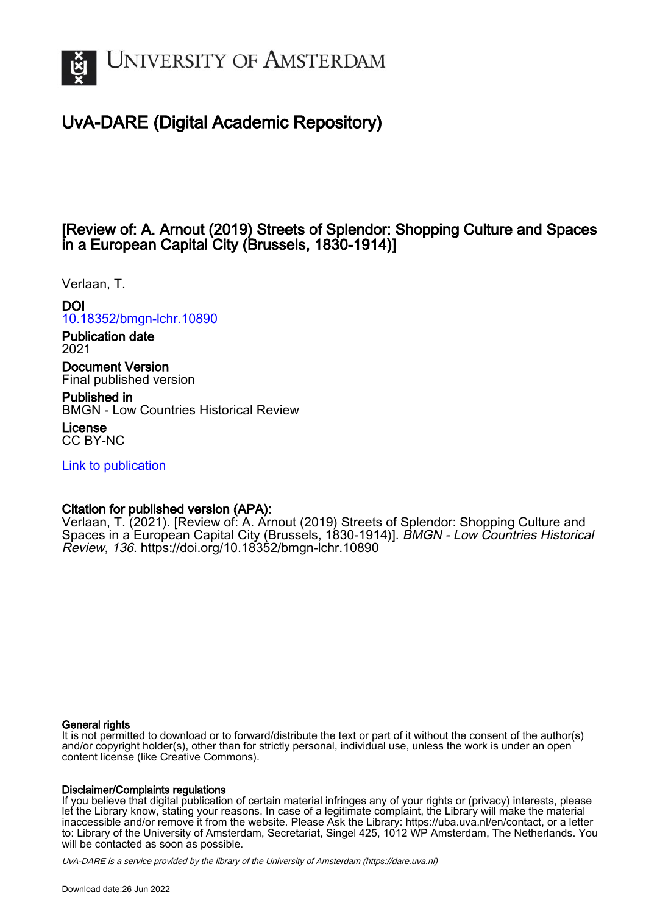

# UvA-DARE (Digital Academic Repository)

## [Review of: A. Arnout (2019) Streets of Splendor: Shopping Culture and Spaces in a European Capital City (Brussels, 1830-1914)]

Verlaan, T.

DOI

[10.18352/bmgn-lchr.10890](https://doi.org/10.18352/bmgn-lchr.10890)

Publication date 2021

Document Version Final published version

Published in BMGN - Low Countries Historical Review

License CC BY-NC

[Link to publication](https://dare.uva.nl/personal/pure/en/publications/review-of-a-arnout-2019-streets-of-splendor-shopping-culture-and-spaces-in-a-european-capital-city-brussels-18301914(3190b2ba-c557-45ff-86ba-b36758c18c6e).html)

## Citation for published version (APA):

Verlaan, T. (2021). [Review of: A. Arnout (2019) Streets of Splendor: Shopping Culture and Spaces in a European Capital City (Brussels, 1830-1914)]. BMGN - Low Countries Historical Review, 136. <https://doi.org/10.18352/bmgn-lchr.10890>

### General rights

It is not permitted to download or to forward/distribute the text or part of it without the consent of the author(s) and/or copyright holder(s), other than for strictly personal, individual use, unless the work is under an open content license (like Creative Commons).

### Disclaimer/Complaints regulations

If you believe that digital publication of certain material infringes any of your rights or (privacy) interests, please let the Library know, stating your reasons. In case of a legitimate complaint, the Library will make the material inaccessible and/or remove it from the website. Please Ask the Library: https://uba.uva.nl/en/contact, or a letter to: Library of the University of Amsterdam, Secretariat, Singel 425, 1012 WP Amsterdam, The Netherlands. You will be contacted as soon as possible.

UvA-DARE is a service provided by the library of the University of Amsterdam (http*s*://dare.uva.nl)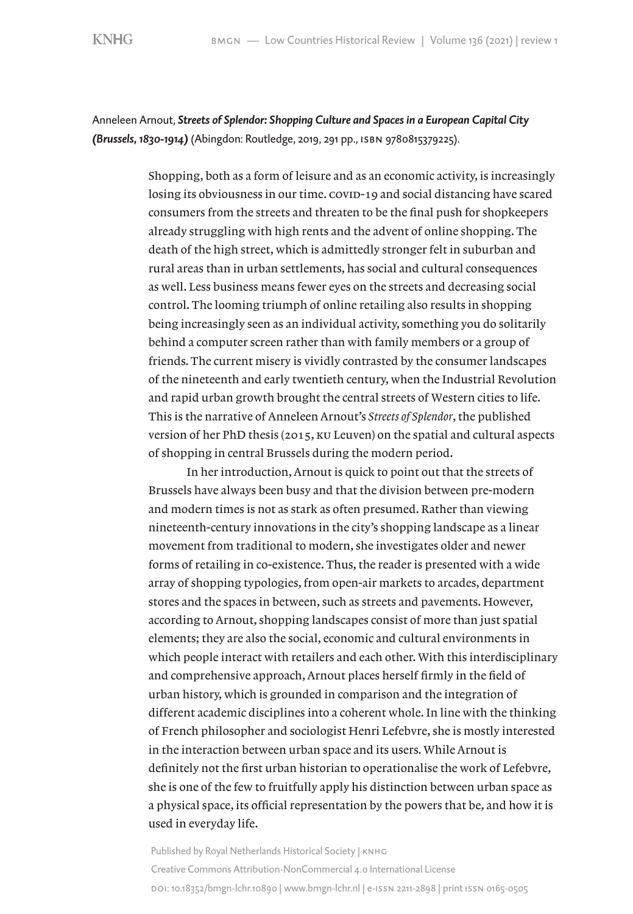Anneleen Arnout, *Streets of Splendor: Shopping Culture and Spaces in a European Capital City (Brussels, 1830-1914)* (Abingdon: Routledge, 2019, 291 pp., isbn 9780815379225).

> Shopping, both as a form of leisure and as an economic activity, is increasingly losing its obviousness in our time. covid-19 and social distancing have scared consumers from the streets and threaten to be the final push for shopkeepers already struggling with high rents and the advent of online shopping. The death of the high street, which is admittedly stronger felt in suburban and rural areas than in urban settlements, has social and cultural consequences as well. Less business means fewer eyes on the streets and decreasing social control. The looming triumph of online retailing also results in shopping being increasingly seen as an individual activity, something you do solitarily behind a computer screen rather than with family members or a group of friends. The current misery is vividly contrasted by the consumer landscapes of the nineteenth and early twentieth century, when the Industrial Revolution and rapid urban growth brought the central streets of Western cities to life. This is the narrative of Anneleen Arnout's *Streets of Splendor*, the published version of her PhD thesis (2015, ku Leuven) on the spatial and cultural aspects of shopping in central Brussels during the modern period.

> In her introduction, Arnout is quick to point out that the streets of Brussels have always been busy and that the division between pre-modern and modern times is not as stark as often presumed. Rather than viewing nineteenth-century innovations in the city's shopping landscape as a linear movement from traditional to modern, she investigates older and newer forms of retailing in co-existence. Thus, the reader is presented with a wide array of shopping typologies, from open-air markets to arcades, department stores and the spaces in between, such as streets and pavements. However, according to Arnout, shopping landscapes consist of more than just spatial elements; they are also the social, economic and cultural environments in which people interact with retailers and each other. With this interdisciplinary and comprehensive approach, Arnout places herself firmly in the field of urban history, which is grounded in comparison and the integration of different academic disciplines into a coherent whole. In line with the thinking of French philosopher and sociologist Henri Lefebvre, she is mostly interested in the interaction between urban space and its users. While Arnout is definitely not the first urban historian to operationalise the work of Lefebvre, she is one of the few to fruitfully apply his distinction between urban space as a physical space, its official representation by the powers that be, and how it is used in everyday life.

Published by Royal Netherlands Historical Society | KNHG Creative Commons Attribution-NonCommercial 4.0 International License doi[: 10.18352/bmgn-lchr.10890](http://doi.org/10.18352/bmgn-lchr.10890) | [www.bmgn-lchr.nl](http://www.bmgn-lchr.nl) | e-issn 2211-2898 | print issn 0165-0505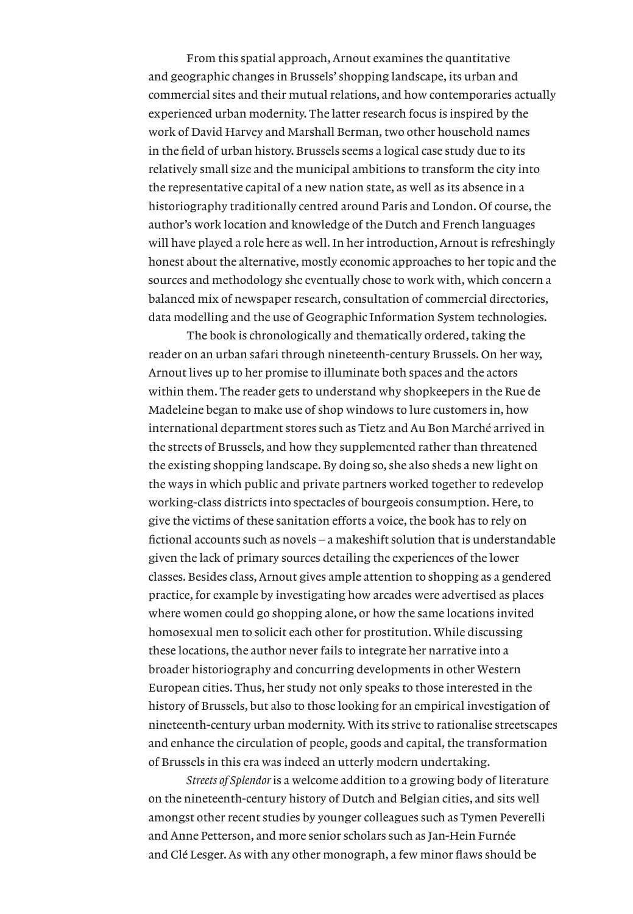From this spatial approach, Arnout examines the quantitative and geographic changes in Brussels' shopping landscape, its urban and commercial sites and their mutual relations, and how contemporaries actually experienced urban modernity. The latter research focus is inspired by the work of David Harvey and Marshall Berman, two other household names in the field of urban history. Brussels seems a logical case study due to its relatively small size and the municipal ambitions to transform the city into the representative capital of a new nation state, as well as its absence in a historiography traditionally centred around Paris and London. Of course, the author's work location and knowledge of the Dutch and French languages will have played a role here as well. In her introduction, Arnout is refreshingly honest about the alternative, mostly economic approaches to her topic and the sources and methodology she eventually chose to work with, which concern a balanced mix of newspaper research, consultation of commercial directories, data modelling and the use of Geographic Information System technologies.

The book is chronologically and thematically ordered, taking the reader on an urban safari through nineteenth-century Brussels. On her way, Arnout lives up to her promise to illuminate both spaces and the actors within them. The reader gets to understand why shopkeepers in the Rue de Madeleine began to make use of shop windows to lure customers in, how international department stores such as Tietz and Au Bon Marché arrived in the streets of Brussels, and how they supplemented rather than threatened the existing shopping landscape. By doing so, she also sheds a new light on the ways in which public and private partners worked together to redevelop working-class districts into spectacles of bourgeois consumption. Here, to give the victims of these sanitation efforts a voice, the book has to rely on fictional accounts such as novels – a makeshift solution that is understandable given the lack of primary sources detailing the experiences of the lower classes. Besides class, Arnout gives ample attention to shopping as a gendered practice, for example by investigating how arcades were advertised as places where women could go shopping alone, or how the same locations invited homosexual men to solicit each other for prostitution. While discussing these locations, the author never fails to integrate her narrative into a broader historiography and concurring developments in other Western European cities. Thus, her study not only speaks to those interested in the history of Brussels, but also to those looking for an empirical investigation of nineteenth-century urban modernity. With its strive to rationalise streetscapes and enhance the circulation of people, goods and capital, the transformation of Brussels in this era was indeed an utterly modern undertaking.

*Streets of Splendor* is a welcome addition to a growing body of literature on the nineteenth-century history of Dutch and Belgian cities, and sits well amongst other recent studies by younger colleagues such as Tymen Peverelli and Anne Petterson, and more senior scholars such as Jan-Hein Furnée and Clé Lesger. As with any other monograph, a few minor flaws should be